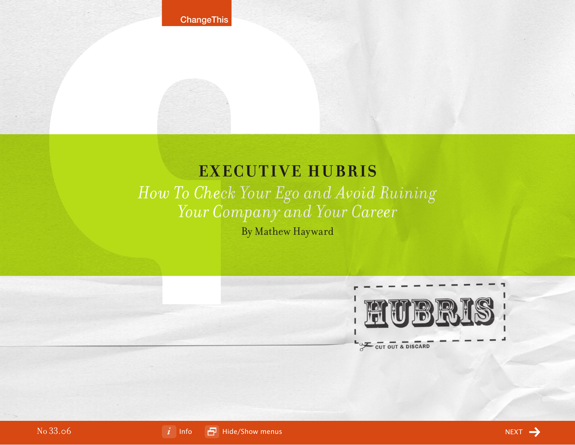# **EXECUTIVE HUBRIS** *How To Check Your Ego and Avoid Ruining Your Company and Your Career*

By Mathew Hayward



No 33.06

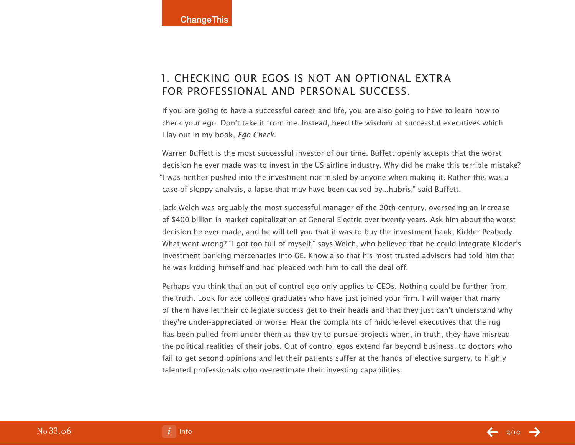# 1. Checking Our Egos is Not an Optional Extra for Professional and Personal Success.

If you are going to have a successful career and life, you are also going to have to learn how to check your ego. Don't take it from me. Instead, heed the wisdom of successful executives which I lay out in my book, Ego Check.

Warren Buffett is the most successful investor of our time. Buffett openly accepts that the worst decision he ever made was to invest in the US airline industry. Why did he make this terrible mistake? "I was neither pushed into the investment nor misled by anyone when making it. Rather this was a case of sloppy analysis, a lapse that may have been caused by...hubris," said Buffett.

Jack Welch was arguably the most successful manager of the 20th century, overseeing an increase of \$400 billion in market capitalization at General Electric over twenty years. Ask him about the worst decision he ever made, and he will tell you that it was to buy the investment bank, Kidder Peabody. What went wrong? "I got too full of myself," says Welch, who believed that he could integrate Kidder's investment banking mercenaries into GE. Know also that his most trusted advisors had told him that he was kidding himself and had pleaded with him to call the deal off.

Perhaps you think that an out of control ego only applies to CEOs. Nothing could be further from the truth. Look for ace college graduates who have just joined your firm. I will wager that many of them have let their collegiate success get to their heads and that they just can't understand why they're under-appreciated or worse. Hear the complaints of middle-level executives that the rug has been pulled from under them as they try to pursue projects when, in truth, they have misread the political realities of their jobs. Out of control egos extend far beyond business, to doctors who fail to get second opinions and let their patients suffer at the hands of elective surgery, to highly talented professionals who overestimate their investing capabilities.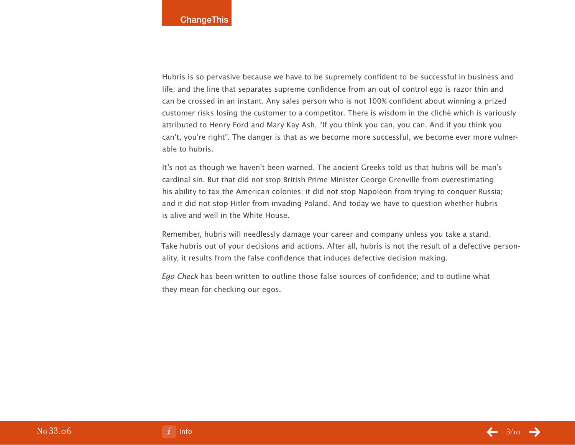Hubris is so pervasive because we have to be supremely confident to be successful in business and life; and the line that separates supreme confidence from an out of control ego is razor thin and can be crossed in an instant. Any sales person who is not 100% confident about winning a prized customer risks losing the customer to a competitor. There is wisdom in the cliché which is variously attributed to Henry Ford and Mary Kay Ash, "If you think you can, you can. And if you think you can't, you're right". The danger is that as we become more successful, we become ever more vulnerable to hubris.

It's not as though we haven't been warned. The ancient Greeks told us that hubris will be man's cardinal sin. But that did not stop British Prime Minister George Grenville from overestimating his ability to tax the American colonies; it did not stop Napoleon from trying to conquer Russia; and it did not stop Hitler from invading Poland. And today we have to question whether hubris is alive and well in the White House.

Remember, hubris will needlessly damage your career and company unless you take a stand. Take hubris out of your decisions and actions. After all, hubris is not the result of a defective personality, it results from the false confidence that induces defective decision making.

Ego Check has been written to outline those false sources of confidence; and to outline what they mean for checking our egos.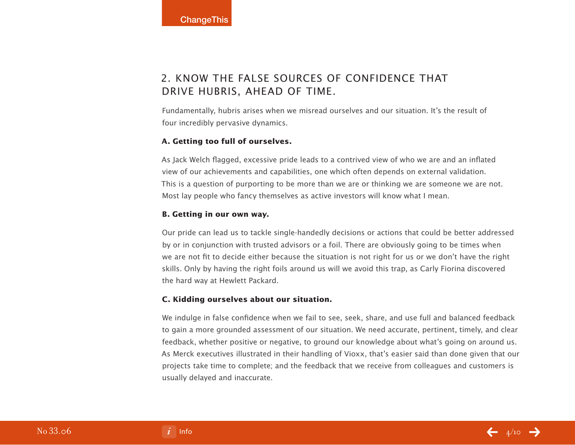# 2. Know the False Sources of Confidence that Drive Hubris, Ahead of Time.

Fundamentally, hubris arises when we misread ourselves and our situation. It's the result of four incredibly pervasive dynamics.

### **A. Getting too full of ourselves.**

As Jack Welch flagged, excessive pride leads to a contrived view of who we are and an inflated view of our achievements and capabilities, one which often depends on external validation. This is a question of purporting to be more than we are or thinking we are someone we are not. Most lay people who fancy themselves as active investors will know what I mean.

## **B. Getting in our own way.**

Our pride can lead us to tackle single-handedly decisions or actions that could be better addressed by or in conjunction with trusted advisors or a foil. There are obviously going to be times when we are not fit to decide either because the situation is not right for us or we don't have the right skills. Only by having the right foils around us will we avoid this trap, as Carly Fiorina discovered the hard way at Hewlett Packard.

### **C. Kidding ourselves about our situation.**

We indulge in false confidence when we fail to see, seek, share, and use full and balanced feedback to gain a more grounded assessment of our situation. We need accurate, pertinent, timely, and clear feedback, whether positive or negative, to ground our knowledge about what's going on around us. As Merck executives illustrated in their handling of Vioxx, that's easier said than done given that our projects take time to complete; and the feedback that we receive from colleagues and customers is usually delayed and inaccurate.

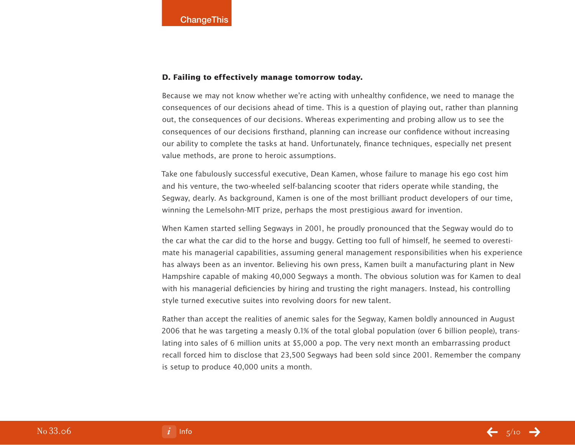### **D. Failing to effectively manage tomorrow today.**

Because we may not know whether we're acting with unhealthy confidence, we need to manage the consequences of our decisions ahead of time. This is a question of playing out, rather than planning out, the consequences of our decisions. Whereas experimenting and probing allow us to see the consequences of our decisions firsthand, planning can increase our confidence without increasing our ability to complete the tasks at hand. Unfortunately, finance techniques, especially net present value methods, are prone to heroic assumptions.

Take one fabulously successful executive, Dean Kamen, whose failure to manage his ego cost him and his venture, the two-wheeled self-balancing scooter that riders operate while standing, the Segway, dearly. As background, Kamen is one of the most brilliant product developers of our time, winning the Lemelsohn-MIT prize, perhaps the most prestigious award for invention.

When Kamen started selling Segways in 2001, he proudly pronounced that the Segway would do to the car what the car did to the horse and buggy. Getting too full of himself, he seemed to overestimate his managerial capabilities, assuming general management responsibilities when his experience has always been as an inventor. Believing his own press, Kamen built a manufacturing plant in New Hampshire capable of making 40,000 Segways a month. The obvious solution was for Kamen to deal with his managerial deficiencies by hiring and trusting the right managers. Instead, his controlling style turned executive suites into revolving doors for new talent.

Rather than accept the realities of anemic sales for the Segway, Kamen boldly announced in August 2006 that he was targeting a measly 0.1% of the total global population (over 6 billion people), translating into sales of 6 million units at \$5,000 a pop. The very next month an embarrassing product recall forced him to disclose that 23,500 Segways had been sold since 2001. Remember the company is setup to produce 40,000 units a month.

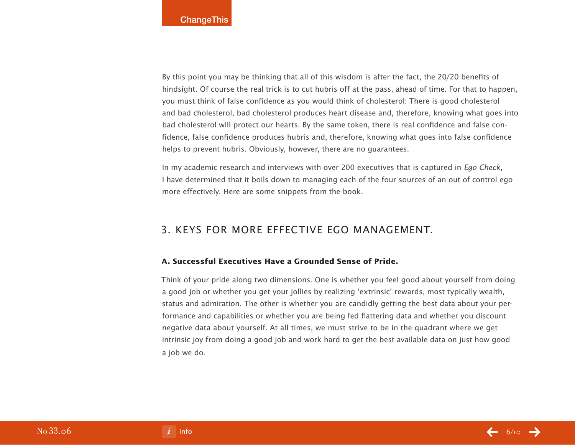By this point you may be thinking that all of this wisdom is after the fact, the 20/20 benefits of hindsight. Of course the real trick is to cut hubris off at the pass, ahead of time. For that to happen, you must think of false confidence as you would think of cholesterol: There is good cholesterol and bad cholesterol, bad cholesterol produces heart disease and, therefore, knowing what goes into bad cholesterol will protect our hearts. By the same token, there is real confidence and false confidence, false confidence produces hubris and, therefore, knowing what goes into false confidence helps to prevent hubris. Obviously, however, there are no guarantees.

In my academic research and interviews with over 200 executives that is captured in *Ego Check*, I have determined that it boils down to managing each of the four sources of an out of control ego more effectively. Here are some snippets from the book.

## 3. Keys for More Effective Ego Management.

### **A. Successful Executives Have a Grounded Sense of Pride.**

Think of your pride along two dimensions. One is whether you feel good about yourself from doing a good job or whether you get your jollies by realizing 'extrinsic' rewards, most typically wealth, status and admiration. The other is whether you are candidly getting the best data about your performance and capabilities or whether you are being fed flattering data and whether you discount negative data about yourself. At all times, we must strive to be in the quadrant where we get intrinsic joy from doing a good job and work hard to get the best available data on just how good a job we do.

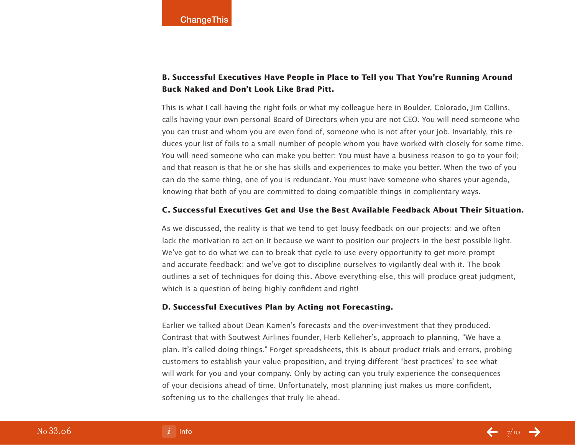## **B. Successful Executives Have People in Place to Tell you That You're Running Around Buck Naked and Don't Look Like Brad Pitt.**

This is what I call having the right foils or what my colleague here in Boulder, Colorado, Jim Collins, calls having your own personal Board of Directors when you are not CEO. You will need someone who you can trust and whom you are even fond of, someone who is not after your job. Invariably, this reduces your list of foils to a small number of people whom you have worked with closely for some time. You will need someone who can make you better: You must have a business reason to go to your foil; and that reason is that he or she has skills and experiences to make you better. When the two of you can do the same thing, one of you is redundant. You must have someone who shares your agenda, knowing that both of you are committed to doing compatible things in complientary ways.

#### **C. Successful Executives Get and Use the Best Available Feedback About Their Situation.**

As we discussed, the reality is that we tend to get lousy feedback on our projects; and we often lack the motivation to act on it because we want to position our projects in the best possible light. We've got to do what we can to break that cycle to use every opportunity to get more prompt and accurate feedback; and we've got to discipline ourselves to vigilantly deal with it. The book outlines a set of techniques for doing this. Above everything else, this will produce great judgment, which is a question of being highly confident and right!

### **D. Successful Executives Plan by Acting not Forecasting.**

Earlier we talked about Dean Kamen's forecasts and the over-investment that they produced. Contrast that with Soutwest Airlines founder, Herb Kelleher's, approach to planning, "We have a plan. It's called doing things." Forget spreadsheets, this is about product trials and errors, probing customers to establish your value proposition, and trying different 'best practices' to see what will work for you and your company. Only by acting can you truly experience the consequences of your decisions ahead of time. Unfortunately, most planning just makes us more confident, softening us to the challenges that truly lie ahead.

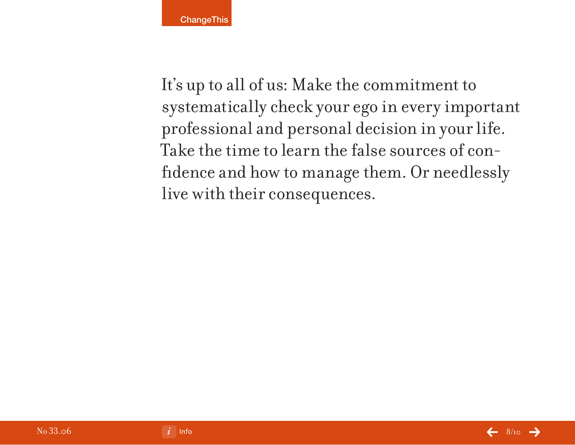It's up to all of us: Make the commitment to systematically check your ego in every important professional and personal decision in your life. Take the time to learn the false sources of confidence and how to manage them. Or needlessly live with their consequences.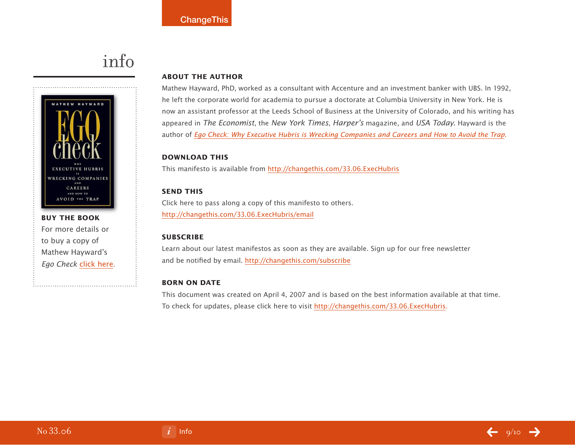# info

<span id="page-8-0"></span>

**buy the book** For more details or to buy a copy of Mathew Hayward's Ego Check [click here.](http://800ceoread.com/products/?ISBN=9781419535352)

### **About the Author**

Mathew Hayward, PhD, worked as a consultant with Accenture and an investment banker with UBS. In 1992, he left the corporate world for academia to pursue a doctorate at Columbia University in New York. He is now an assistant professor at the Leeds School of Business at the University of Colorado, and his writing has appeared in The Economist, the New York Times, Harper's magazine, and USA Today. Hayward is the author of [Ego Check: Why Executive Hubris is Wrecking Companies and Careers and How to Avoid the Trap.](http://800ceoread.com/products/?ISBN=9781419535352)

### **download this**

This manifesto is available from [http://changethis.com/3](http://changethis.com/33.06.ExecHubris)3.06.ExecHubris

## **send this**

Click here to pass along a copy of this manifesto to others. <http://changethis.com/33.06.ExecHubris/email>

### **Subscribe**

Learn about our latest manifestos as soon as they are available. Sign up for our free newsletter and be notified by email.<http://changethis.com/subscribe>

### **Born on date**

This document was created on April 4, 2007 and is based on the best information available at that time. To check for updates, please click here to visit [http://changethis.com/3](http://changethis.com/33.06.ExecHubris)3.06.ExecHubris.